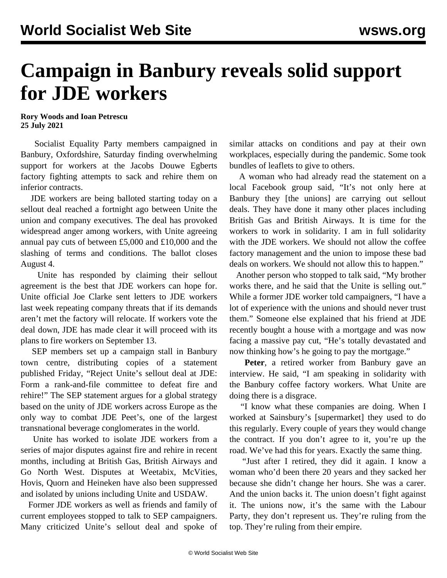## **Campaign in Banbury reveals solid support for JDE workers**

**Rory Woods and Ioan Petrescu 25 July 2021**

 Socialist Equality Party members campaigned in Banbury, Oxfordshire, Saturday finding overwhelming support for workers at the Jacobs Douwe Egberts factory fighting attempts to sack and rehire them on inferior contracts.

 JDE workers are being balloted starting today on a sellout deal reached a fortnight ago between Unite the union and company executives. The deal has provoked widespread anger among workers, with Unite agreeing annual pay cuts of between £5,000 and £10,000 and the slashing of terms and conditions. The ballot closes August 4.

 Unite has responded by claiming their sellout agreement is the best that JDE workers can hope for. Unite official Joe Clarke sent letters to JDE workers last week repeating company threats that if its demands aren't met the factory will relocate. If workers vote the deal down, JDE has made clear it will proceed with its plans to fire workers on September 13.

 SEP members set up a campaign stall in Banbury town centre, distributing copies of a statement published Friday, "[Reject Unite's sellout deal at JDE:](/en/articles/2021/07/23/jdes-j23.html) [Form a rank-and-file committee to defeat fire and](/en/articles/2021/07/23/jdes-j23.html) [rehire!](/en/articles/2021/07/23/jdes-j23.html)" The SEP statement argues for a global strategy based on the unity of JDE workers across Europe as the only way to combat JDE Peet's, one of the largest transnational beverage conglomerates in the world.

 Unite has worked to isolate JDE workers from a series of major disputes against fire and rehire in recent months, including at British Gas, British Airways and Go North West. Disputes at Weetabix, McVities, Hovis, Quorn and Heineken have also been suppressed and isolated by unions including Unite and USDAW.

 Former JDE workers as well as friends and family of current employees stopped to talk to SEP campaigners. Many criticized Unite's sellout deal and spoke of similar attacks on conditions and pay at their own workplaces, especially during the pandemic. Some took bundles of leaflets to give to others.

 A woman who had already read the statement on a local Facebook group said, "It's not only here at Banbury they [the unions] are carrying out sellout deals. They have done it many other places including British Gas and British Airways. It is time for the workers to work in solidarity. I am in full solidarity with the JDE workers. We should not allow the coffee factory management and the union to impose these bad deals on workers. We should not allow this to happen."

 Another person who stopped to talk said, "My brother works there, and he said that the Unite is selling out." While a former JDE worker told campaigners, "I have a lot of experience with the unions and should never trust them." Someone else explained that his friend at JDE recently bought a house with a mortgage and was now facing a massive pay cut, "He's totally devastated and now thinking how's he going to pay the mortgage."

 **Peter**, a retired worker from Banbury gave an interview. He said, "I am speaking in solidarity with the Banbury coffee factory workers. What Unite are doing there is a disgrace.

 "I know what these companies are doing. When I worked at Sainsbury's [supermarket] they used to do this regularly. Every couple of years they would change the contract. If you don't agree to it, you're up the road. We've had this for years. Exactly the same thing.

 "Just after I retired, they did it again. I know a woman who'd been there 20 years and they sacked her because she didn't change her hours. She was a carer. And the union backs it. The union doesn't fight against it. The unions now, it's the same with the Labour Party, they don't represent us. They're ruling from the top. They're ruling from their empire.